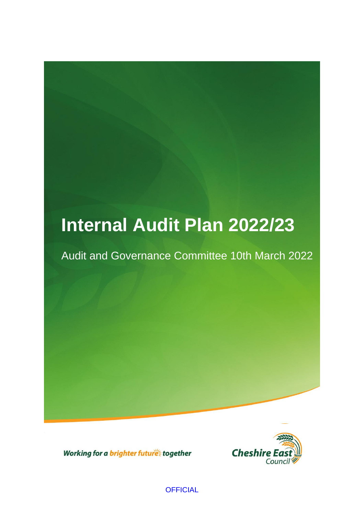# **Internal Audit Plan 2022/23**

## Audit and Governance Committee 10th March 2022



Working for a brighter futures together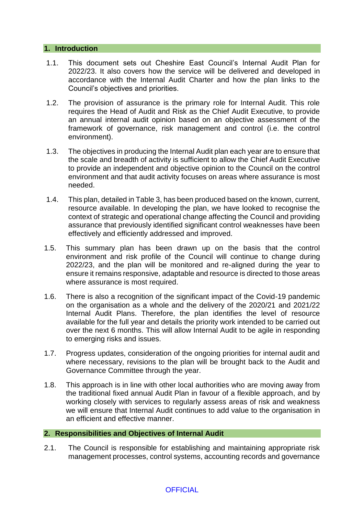#### **1. Introduction**

- 1.1. This document sets out Cheshire East Council's Internal Audit Plan for 2022/23. It also covers how the service will be delivered and developed in accordance with the Internal Audit Charter and how the plan links to the Council's objectives and priorities.
- 1.2. The provision of assurance is the primary role for Internal Audit. This role requires the Head of Audit and Risk as the Chief Audit Executive, to provide an annual internal audit opinion based on an objective assessment of the framework of governance, risk management and control (i.e. the control environment).
- 1.3. The objectives in producing the Internal Audit plan each year are to ensure that the scale and breadth of activity is sufficient to allow the Chief Audit Executive to provide an independent and objective opinion to the Council on the control environment and that audit activity focuses on areas where assurance is most needed.
- 1.4. This plan, detailed in Table 3, has been produced based on the known, current, resource available. In developing the plan, we have looked to recognise the context of strategic and operational change affecting the Council and providing assurance that previously identified significant control weaknesses have been effectively and efficiently addressed and improved.
- 1.5. This summary plan has been drawn up on the basis that the control environment and risk profile of the Council will continue to change during 2022/23, and the plan will be monitored and re-aligned during the year to ensure it remains responsive, adaptable and resource is directed to those areas where assurance is most required.
- 1.6. There is also a recognition of the significant impact of the Covid-19 pandemic on the organisation as a whole and the delivery of the 2020/21 and 2021/22 Internal Audit Plans. Therefore, the plan identifies the level of resource available for the full year and details the priority work intended to be carried out over the next 6 months. This will allow Internal Audit to be agile in responding to emerging risks and issues.
- 1.7. Progress updates, consideration of the ongoing priorities for internal audit and where necessary, revisions to the plan will be brought back to the Audit and Governance Committee through the year.
- 1.8. This approach is in line with other local authorities who are moving away from the traditional fixed annual Audit Plan in favour of a flexible approach, and by working closely with services to regularly assess areas of risk and weakness we will ensure that Internal Audit continues to add value to the organisation in an efficient and effective manner.

#### **2. Responsibilities and Objectives of Internal Audit**

2.1. The Council is responsible for establishing and maintaining appropriate risk management processes, control systems, accounting records and governance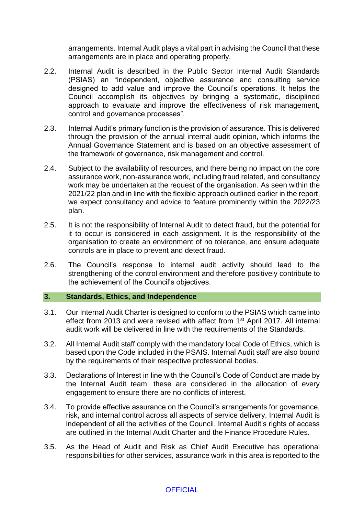arrangements. Internal Audit plays a vital part in advising the Council that these arrangements are in place and operating properly.

- 2.2. Internal Audit is described in the Public Sector Internal Audit Standards (PSIAS) an "independent, objective assurance and consulting service designed to add value and improve the Council's operations. It helps the Council accomplish its objectives by bringing a systematic, disciplined approach to evaluate and improve the effectiveness of risk management, control and governance processes".
- 2.3. Internal Audit's primary function is the provision of assurance. This is delivered through the provision of the annual internal audit opinion, which informs the Annual Governance Statement and is based on an objective assessment of the framework of governance, risk management and control.
- 2.4. Subject to the availability of resources, and there being no impact on the core assurance work, non-assurance work, including fraud related, and consultancy work may be undertaken at the request of the organisation. As seen within the 2021/22 plan and in line with the flexible approach outlined earlier in the report, we expect consultancy and advice to feature prominently within the 2022/23 plan.
- 2.5. It is not the responsibility of Internal Audit to detect fraud, but the potential for it to occur is considered in each assignment. It is the responsibility of the organisation to create an environment of no tolerance, and ensure adequate controls are in place to prevent and detect fraud.
- 2.6. The Council's response to internal audit activity should lead to the strengthening of the control environment and therefore positively contribute to the achievement of the Council's objectives.

#### **3. Standards, Ethics, and Independence**

- 3.1. Our Internal Audit Charter is designed to conform to the PSIAS which came into effect from 2013 and were revised with affect from 1<sup>st</sup> April 2017. All internal audit work will be delivered in line with the requirements of the Standards.
- 3.2. All Internal Audit staff comply with the mandatory local Code of Ethics, which is based upon the Code included in the PSAIS. Internal Audit staff are also bound by the requirements of their respective professional bodies.
- 3.3. Declarations of Interest in line with the Council's Code of Conduct are made by the Internal Audit team; these are considered in the allocation of every engagement to ensure there are no conflicts of interest.
- 3.4. To provide effective assurance on the Council's arrangements for governance, risk, and internal control across all aspects of service delivery, Internal Audit is independent of all the activities of the Council. Internal Audit's rights of access are outlined in the Internal Audit Charter and the Finance Procedure Rules.
- 3.5. As the Head of Audit and Risk as Chief Audit Executive has operational responsibilities for other services, assurance work in this area is reported to the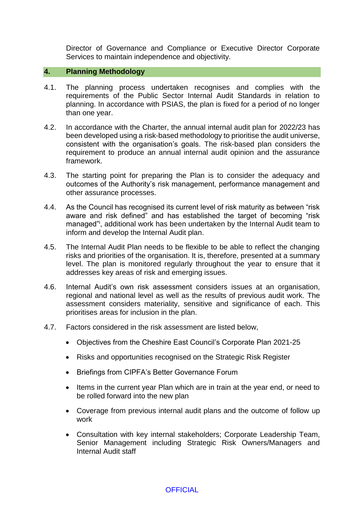Director of Governance and Compliance or Executive Director Corporate Services to maintain independence and objectivity.

#### **4. Planning Methodology**

- 4.1. The planning process undertaken recognises and complies with the requirements of the Public Sector Internal Audit Standards in relation to planning. In accordance with PSIAS, the plan is fixed for a period of no longer than one year.
- 4.2. In accordance with the Charter, the annual internal audit plan for 2022/23 has been developed using a risk-based methodology to prioritise the audit universe, consistent with the organisation's goals. The risk-based plan considers the requirement to produce an annual internal audit opinion and the assurance framework.
- 4.3. The starting point for preparing the Plan is to consider the adequacy and outcomes of the Authority's risk management, performance management and other assurance processes.
- 4.4. As the Council has recognised its current level of risk maturity as between "risk aware and risk defined" and has established the target of becoming "risk managed"<sup>i</sup> , additional work has been undertaken by the Internal Audit team to inform and develop the Internal Audit plan.
- 4.5. The Internal Audit Plan needs to be flexible to be able to reflect the changing risks and priorities of the organisation. It is, therefore, presented at a summary level. The plan is monitored regularly throughout the year to ensure that it addresses key areas of risk and emerging issues.
- 4.6. Internal Audit's own risk assessment considers issues at an organisation, regional and national level as well as the results of previous audit work. The assessment considers materiality, sensitive and significance of each. This prioritises areas for inclusion in the plan.
- 4.7. Factors considered in the risk assessment are listed below,
	- Objectives from the Cheshire East Council's Corporate Plan 2021-25
	- Risks and opportunities recognised on the Strategic Risk Register
	- Briefings from CIPFA's Better Governance Forum
	- Items in the current year Plan which are in train at the year end, or need to be rolled forward into the new plan
	- Coverage from previous internal audit plans and the outcome of follow up work
	- Consultation with key internal stakeholders; Corporate Leadership Team, Senior Management including Strategic Risk Owners/Managers and Internal Audit staff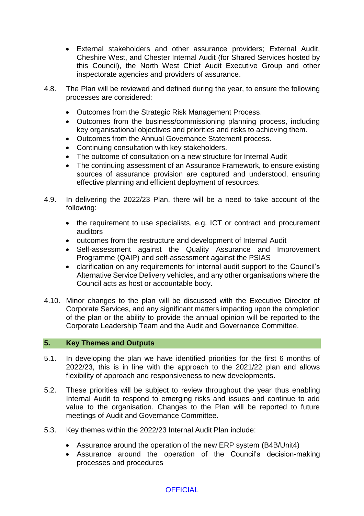- External stakeholders and other assurance providers; External Audit, Cheshire West, and Chester Internal Audit (for Shared Services hosted by this Council), the North West Chief Audit Executive Group and other inspectorate agencies and providers of assurance.
- 4.8. The Plan will be reviewed and defined during the year, to ensure the following processes are considered:
	- Outcomes from the Strategic Risk Management Process.
	- Outcomes from the business/commissioning planning process, including key organisational objectives and priorities and risks to achieving them.
	- Outcomes from the Annual Governance Statement process.
	- Continuing consultation with key stakeholders.
	- The outcome of consultation on a new structure for Internal Audit
	- The continuing assessment of an Assurance Framework, to ensure existing sources of assurance provision are captured and understood, ensuring effective planning and efficient deployment of resources.
- 4.9. In delivering the 2022/23 Plan, there will be a need to take account of the following:
	- the requirement to use specialists, e.g. ICT or contract and procurement auditors
	- outcomes from the restructure and development of Internal Audit
	- Self-assessment against the Quality Assurance and Improvement Programme (QAIP) and self-assessment against the PSIAS
	- clarification on any requirements for internal audit support to the Council's Alternative Service Delivery vehicles, and any other organisations where the Council acts as host or accountable body.
- 4.10. Minor changes to the plan will be discussed with the Executive Director of Corporate Services, and any significant matters impacting upon the completion of the plan or the ability to provide the annual opinion will be reported to the Corporate Leadership Team and the Audit and Governance Committee.

#### **5. Key Themes and Outputs**

- 5.1. In developing the plan we have identified priorities for the first 6 months of 2022/23, this is in line with the approach to the 2021/22 plan and allows flexibility of approach and responsiveness to new developments.
- 5.2. These priorities will be subject to review throughout the year thus enabling Internal Audit to respond to emerging risks and issues and continue to add value to the organisation. Changes to the Plan will be reported to future meetings of Audit and Governance Committee.
- 5.3. Key themes within the 2022/23 Internal Audit Plan include:
	- Assurance around the operation of the new ERP system (B4B/Unit4)
	- Assurance around the operation of the Council's decision-making processes and procedures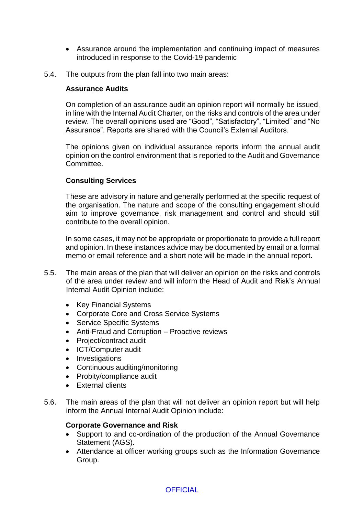- Assurance around the implementation and continuing impact of measures introduced in response to the Covid-19 pandemic
- 5.4. The outputs from the plan fall into two main areas:

#### **Assurance Audits**

On completion of an assurance audit an opinion report will normally be issued, in line with the Internal Audit Charter, on the risks and controls of the area under review. The overall opinions used are "Good", "Satisfactory", "Limited" and "No Assurance". Reports are shared with the Council's External Auditors.

The opinions given on individual assurance reports inform the annual audit opinion on the control environment that is reported to the Audit and Governance Committee.

#### **Consulting Services**

These are advisory in nature and generally performed at the specific request of the organisation. The nature and scope of the consulting engagement should aim to improve governance, risk management and control and should still contribute to the overall opinion.

In some cases, it may not be appropriate or proportionate to provide a full report and opinion. In these instances advice may be documented by email or a formal memo or email reference and a short note will be made in the annual report.

- 5.5. The main areas of the plan that will deliver an opinion on the risks and controls of the area under review and will inform the Head of Audit and Risk's Annual Internal Audit Opinion include:
	- Key Financial Systems
	- Corporate Core and Cross Service Systems
	- Service Specific Systems
	- Anti-Fraud and Corruption Proactive reviews
	- Project/contract audit
	- ICT/Computer audit
	- Investigations
	- Continuous auditing/monitoring
	- Probity/compliance audit
	- External clients
- 5.6. The main areas of the plan that will not deliver an opinion report but will help inform the Annual Internal Audit Opinion include:

#### **Corporate Governance and Risk**

- Support to and co-ordination of the production of the Annual Governance Statement (AGS).
- Attendance at officer working groups such as the Information Governance Group.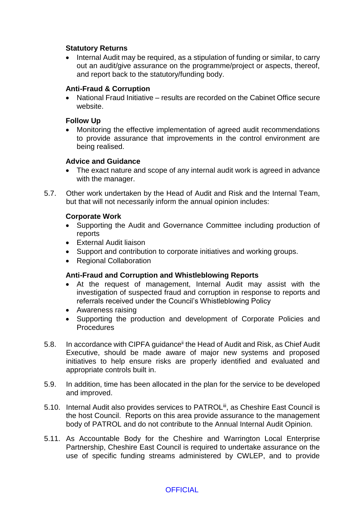#### **Statutory Returns**

• Internal Audit may be required, as a stipulation of funding or similar, to carry out an audit/give assurance on the programme/project or aspects, thereof, and report back to the statutory/funding body.

#### **Anti-Fraud & Corruption**

 National Fraud Initiative – results are recorded on the Cabinet Office secure website.

#### **Follow Up**

 Monitoring the effective implementation of agreed audit recommendations to provide assurance that improvements in the control environment are being realised.

#### **Advice and Guidance**

- The exact nature and scope of any internal audit work is agreed in advance with the manager.
- 5.7. Other work undertaken by the Head of Audit and Risk and the Internal Team, but that will not necessarily inform the annual opinion includes:

#### **Corporate Work**

- Supporting the Audit and Governance Committee including production of reports
- External Audit liaison
- Support and contribution to corporate initiatives and working groups.
- Regional Collaboration

#### **Anti-Fraud and Corruption and Whistleblowing Reports**

- At the request of management, Internal Audit may assist with the investigation of suspected fraud and corruption in response to reports and referrals received under the Council's Whistleblowing Policy
- Awareness raising
- Supporting the production and development of Corporate Policies and **Procedures**
- 5.8. In accordance with CIPFA guidance<sup>ii</sup> the Head of Audit and Risk, as Chief Audit Executive, should be made aware of major new systems and proposed initiatives to help ensure risks are properly identified and evaluated and appropriate controls built in.
- 5.9. In addition, time has been allocated in the plan for the service to be developed and improved.
- 5.10. Internal Audit also provides services to PATROL<sup>iii</sup>, as Cheshire East Council is the host Council. Reports on this area provide assurance to the management body of PATROL and do not contribute to the Annual Internal Audit Opinion.
- 5.11. As Accountable Body for the Cheshire and Warrington Local Enterprise Partnership, Cheshire East Council is required to undertake assurance on the use of specific funding streams administered by CWLEP, and to provide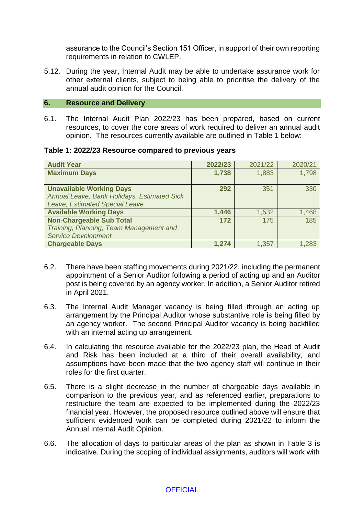assurance to the Council's Section 151 Officer, in support of their own reporting requirements in relation to CWLEP.

5.12. During the year, Internal Audit may be able to undertake assurance work for other external clients, subject to being able to prioritise the delivery of the annual audit opinion for the Council.

#### **6. Resource and Delivery**

6.1. The Internal Audit Plan 2022/23 has been prepared, based on current resources, to cover the core areas of work required to deliver an annual audit opinion. The resources currently available are outlined in Table 1 below:

#### **Table 1: 2022/23 Resource compared to previous years**

| <b>Audit Year</b>                           | 2022/23 | 2021/22 | 2020/21 |
|---------------------------------------------|---------|---------|---------|
| <b>Maximum Days</b>                         | 1,738   | 1,883   | 1,798   |
|                                             |         |         |         |
| <b>Unavailable Working Days</b>             | 292     | 351     | 330     |
| Annual Leave, Bank Holidays, Estimated Sick |         |         |         |
| Leave, Estimated Special Leave              |         |         |         |
| <b>Available Working Days</b>               | 1,446   | 1,532   | 1,468   |
| <b>Non-Chargeable Sub Total</b>             | 172     | 175     | 185     |
| Training, Planning, Team Management and     |         |         |         |
| <b>Service Development</b>                  |         |         |         |
| <b>Chargeable Days</b>                      | 1,274   | 1,357   | 1,283   |

- 6.2. There have been staffing movements during 2021/22, including the permanent appointment of a Senior Auditor following a period of acting up and an Auditor post is being covered by an agency worker. In addition, a Senior Auditor retired in April 2021.
- 6.3. The Internal Audit Manager vacancy is being filled through an acting up arrangement by the Principal Auditor whose substantive role is being filled by an agency worker. The second Principal Auditor vacancy is being backfilled with an internal acting up arrangement.
- 6.4. In calculating the resource available for the 2022/23 plan, the Head of Audit and Risk has been included at a third of their overall availability, and assumptions have been made that the two agency staff will continue in their roles for the first quarter.
- 6.5. There is a slight decrease in the number of chargeable days available in comparison to the previous year, and as referenced earlier, preparations to restructure the team are expected to be implemented during the 2022/23 financial year. However, the proposed resource outlined above will ensure that sufficient evidenced work can be completed during 2021/22 to inform the Annual Internal Audit Opinion.
- 6.6. The allocation of days to particular areas of the plan as shown in Table 3 is indicative. During the scoping of individual assignments, auditors will work with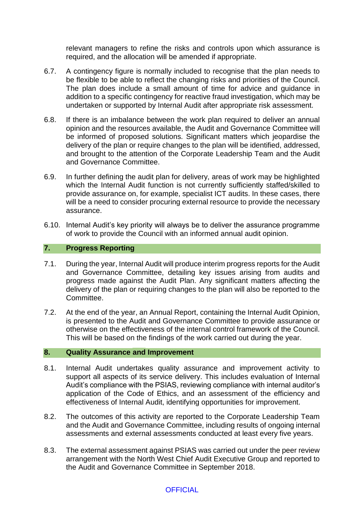relevant managers to refine the risks and controls upon which assurance is required, and the allocation will be amended if appropriate.

- 6.7. A contingency figure is normally included to recognise that the plan needs to be flexible to be able to reflect the changing risks and priorities of the Council. The plan does include a small amount of time for advice and guidance in addition to a specific contingency for reactive fraud investigation, which may be undertaken or supported by Internal Audit after appropriate risk assessment.
- 6.8. If there is an imbalance between the work plan required to deliver an annual opinion and the resources available, the Audit and Governance Committee will be informed of proposed solutions. Significant matters which jeopardise the delivery of the plan or require changes to the plan will be identified, addressed, and brought to the attention of the Corporate Leadership Team and the Audit and Governance Committee.
- 6.9. In further defining the audit plan for delivery, areas of work may be highlighted which the Internal Audit function is not currently sufficiently staffed/skilled to provide assurance on, for example, specialist ICT audits. In these cases, there will be a need to consider procuring external resource to provide the necessary assurance.
- 6.10. Internal Audit's key priority will always be to deliver the assurance programme of work to provide the Council with an informed annual audit opinion.

#### **7. Progress Reporting**

- 7.1. During the year, Internal Audit will produce interim progress reports for the Audit and Governance Committee, detailing key issues arising from audits and progress made against the Audit Plan. Any significant matters affecting the delivery of the plan or requiring changes to the plan will also be reported to the Committee.
- 7.2. At the end of the year, an Annual Report, containing the Internal Audit Opinion, is presented to the Audit and Governance Committee to provide assurance or otherwise on the effectiveness of the internal control framework of the Council. This will be based on the findings of the work carried out during the year.

#### **8. Quality Assurance and Improvement**

- 8.1. Internal Audit undertakes quality assurance and improvement activity to support all aspects of its service delivery. This includes evaluation of Internal Audit's compliance with the PSIAS, reviewing compliance with internal auditor's application of the Code of Ethics, and an assessment of the efficiency and effectiveness of Internal Audit, identifying opportunities for improvement.
- 8.2. The outcomes of this activity are reported to the Corporate Leadership Team and the Audit and Governance Committee, including results of ongoing internal assessments and external assessments conducted at least every five years.
- 8.3. The external assessment against PSIAS was carried out under the peer review arrangement with the North West Chief Audit Executive Group and reported to the Audit and Governance Committee in September 2018.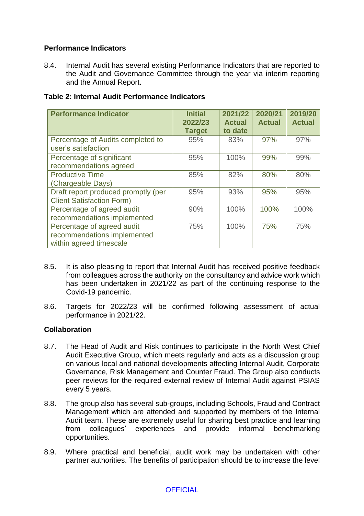#### **Performance Indicators**

8.4. Internal Audit has several existing Performance Indicators that are reported to the Audit and Governance Committee through the year via interim reporting and the Annual Report.

| <b>Performance Indicator</b>        | <b>Initial</b><br>2022/23 | 2021/22<br><b>Actual</b> | 2020/21<br><b>Actual</b> | 2019/20<br><b>Actual</b> |
|-------------------------------------|---------------------------|--------------------------|--------------------------|--------------------------|
| Percentage of Audits completed to   | <b>Target</b><br>95%      | to date<br>83%           | 97%                      | 97%                      |
| user's satisfaction                 |                           |                          |                          |                          |
| Percentage of significant           | 95%                       | 100%                     | 99%                      | 99%                      |
| recommendations agreed              |                           |                          |                          |                          |
| <b>Productive Time</b>              | 85%                       | 82%                      | 80%                      | 80%                      |
| (Chargeable Days)                   |                           |                          |                          |                          |
| Draft report produced promptly (per | 95%                       | 93%                      | 95%                      | 95%                      |
| <b>Client Satisfaction Form)</b>    |                           |                          |                          |                          |
| Percentage of agreed audit          | 90%                       | 100%                     | 100%                     | 100%                     |
| recommendations implemented         |                           |                          |                          |                          |
| Percentage of agreed audit          | 75%                       | 100%                     | 75%                      | 75%                      |
| recommendations implemented         |                           |                          |                          |                          |
| within agreed timescale             |                           |                          |                          |                          |

#### **Table 2: Internal Audit Performance Indicators**

- 8.5. It is also pleasing to report that Internal Audit has received positive feedback from colleagues across the authority on the consultancy and advice work which has been undertaken in 2021/22 as part of the continuing response to the Covid-19 pandemic.
- 8.6. Targets for 2022/23 will be confirmed following assessment of actual performance in 2021/22.

#### **Collaboration**

- 8.7. The Head of Audit and Risk continues to participate in the North West Chief Audit Executive Group, which meets regularly and acts as a discussion group on various local and national developments affecting Internal Audit, Corporate Governance, Risk Management and Counter Fraud. The Group also conducts peer reviews for the required external review of Internal Audit against PSIAS every 5 years.
- 8.8. The group also has several sub-groups, including Schools, Fraud and Contract Management which are attended and supported by members of the Internal Audit team. These are extremely useful for sharing best practice and learning from colleagues' experiences and provide informal benchmarking opportunities.
- 8.9. Where practical and beneficial, audit work may be undertaken with other partner authorities. The benefits of participation should be to increase the level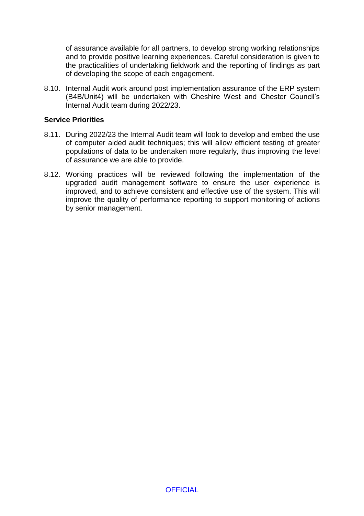of assurance available for all partners, to develop strong working relationships and to provide positive learning experiences. Careful consideration is given to the practicalities of undertaking fieldwork and the reporting of findings as part of developing the scope of each engagement.

8.10. Internal Audit work around post implementation assurance of the ERP system (B4B/Unit4) will be undertaken with Cheshire West and Chester Council's Internal Audit team during 2022/23.

#### **Service Priorities**

- 8.11. During 2022/23 the Internal Audit team will look to develop and embed the use of computer aided audit techniques; this will allow efficient testing of greater populations of data to be undertaken more regularly, thus improving the level of assurance we are able to provide.
- 8.12. Working practices will be reviewed following the implementation of the upgraded audit management software to ensure the user experience is improved, and to achieve consistent and effective use of the system. This will improve the quality of performance reporting to support monitoring of actions by senior management.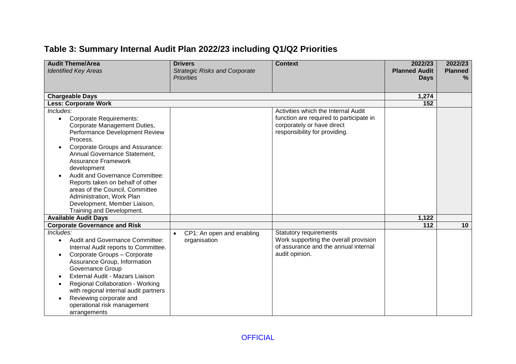### **Table 3: Summary Internal Audit Plan 2022/23 including Q1/Q2 Priorities**

| <b>Audit Theme/Area</b><br><b>Identified Key Areas</b>                                                                                                                                                                                                                                                                                                                                                                                                            | <b>Drivers</b><br><b>Strategic Risks and Corporate</b> | <b>Context</b>                                                                                                                                | 2022/23<br><b>Planned Audit</b> | 2022/23<br><b>Planned</b> |
|-------------------------------------------------------------------------------------------------------------------------------------------------------------------------------------------------------------------------------------------------------------------------------------------------------------------------------------------------------------------------------------------------------------------------------------------------------------------|--------------------------------------------------------|-----------------------------------------------------------------------------------------------------------------------------------------------|---------------------------------|---------------------------|
|                                                                                                                                                                                                                                                                                                                                                                                                                                                                   | <b>Priorities</b>                                      |                                                                                                                                               | <b>Days</b>                     | $\frac{9}{6}$             |
|                                                                                                                                                                                                                                                                                                                                                                                                                                                                   |                                                        |                                                                                                                                               |                                 |                           |
| <b>Chargeable Days</b>                                                                                                                                                                                                                                                                                                                                                                                                                                            |                                                        |                                                                                                                                               | 1,274                           |                           |
| <b>Less: Corporate Work</b>                                                                                                                                                                                                                                                                                                                                                                                                                                       |                                                        |                                                                                                                                               | 152                             |                           |
| Includes:<br><b>Corporate Requirements:</b><br>$\bullet$<br>Corporate Management Duties,<br>Performance Development Review<br>Process.<br>Corporate Groups and Assurance:<br>Annual Governance Statement,<br><b>Assurance Framework</b><br>development<br><b>Audit and Governance Committee:</b><br>Reports taken on behalf of other<br>areas of the Council, Committee<br>Administration, Work Plan<br>Development, Member Liaison,<br>Training and Development. |                                                        | Activities which the Internal Audit<br>function are required to participate in<br>corporately or have direct<br>responsibility for providing. |                                 |                           |
| <b>Available Audit Days</b>                                                                                                                                                                                                                                                                                                                                                                                                                                       |                                                        |                                                                                                                                               | 1,122                           |                           |
| <b>Corporate Governance and Risk</b>                                                                                                                                                                                                                                                                                                                                                                                                                              |                                                        |                                                                                                                                               | 112                             | 10                        |
| Includes:<br>Audit and Governance Committee:<br>$\bullet$<br>Internal Audit reports to Committee.<br>Corporate Groups - Corporate<br>$\bullet$<br>Assurance Group, Information<br>Governance Group<br>External Audit - Mazars Liaison<br><b>Regional Collaboration - Working</b><br>with regional internal audit partners<br>Reviewing corporate and<br>$\bullet$<br>operational risk management<br>arrangements                                                  | CP1: An open and enabling<br>organisation              | <b>Statutory requirements</b><br>Work supporting the overall provision<br>of assurance and the annual internal<br>audit opinion.              |                                 |                           |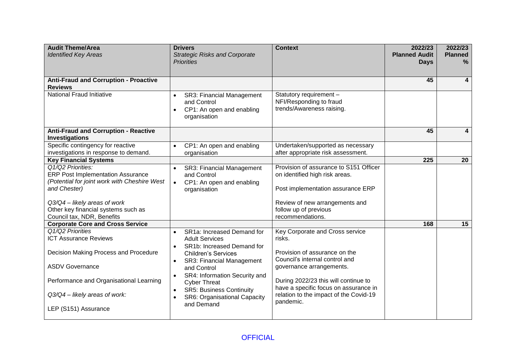| <b>Audit Theme/Area</b><br><b>Identified Key Areas</b>                                                                                                                                                                  | <b>Drivers</b><br><b>Strategic Risks and Corporate</b>                                                                                                                                                                                                                                                                                                                       | <b>Context</b>                                                                                                                                                                                                                                                                   | 2022/23<br><b>Planned Audit</b> | 2022/23<br><b>Planned</b> |
|-------------------------------------------------------------------------------------------------------------------------------------------------------------------------------------------------------------------------|------------------------------------------------------------------------------------------------------------------------------------------------------------------------------------------------------------------------------------------------------------------------------------------------------------------------------------------------------------------------------|----------------------------------------------------------------------------------------------------------------------------------------------------------------------------------------------------------------------------------------------------------------------------------|---------------------------------|---------------------------|
|                                                                                                                                                                                                                         | <b>Priorities</b>                                                                                                                                                                                                                                                                                                                                                            |                                                                                                                                                                                                                                                                                  | <b>Days</b>                     | $\%$                      |
| <b>Anti-Fraud and Corruption - Proactive</b><br><b>Reviews</b>                                                                                                                                                          |                                                                                                                                                                                                                                                                                                                                                                              |                                                                                                                                                                                                                                                                                  | 45                              | 4                         |
| <b>National Fraud Initiative</b>                                                                                                                                                                                        | SR3: Financial Management<br>$\bullet$<br>and Control<br>CP1: An open and enabling<br>$\bullet$<br>organisation                                                                                                                                                                                                                                                              | Statutory requirement -<br>NFI/Responding to fraud<br>trends/Awareness raising.                                                                                                                                                                                                  |                                 |                           |
| <b>Anti-Fraud and Corruption - Reactive</b><br><b>Investigations</b>                                                                                                                                                    |                                                                                                                                                                                                                                                                                                                                                                              |                                                                                                                                                                                                                                                                                  | 45                              | 4                         |
| Specific contingency for reactive<br>investigations in response to demand.                                                                                                                                              | CP1: An open and enabling<br>$\bullet$<br>organisation                                                                                                                                                                                                                                                                                                                       | Undertaken/supported as necessary<br>after appropriate risk assessment.                                                                                                                                                                                                          |                                 |                           |
| <b>Key Financial Systems</b>                                                                                                                                                                                            |                                                                                                                                                                                                                                                                                                                                                                              |                                                                                                                                                                                                                                                                                  | 225                             | 20                        |
| Q1/Q2 Priorities:<br><b>ERP Post Implementation Assurance</b><br>(Potential for joint work with Cheshire West                                                                                                           | SR3: Financial Management<br>$\bullet$<br>and Control<br>CP1: An open and enabling<br>$\bullet$                                                                                                                                                                                                                                                                              | Provision of assurance to S151 Officer<br>on identified high risk areas.                                                                                                                                                                                                         |                                 |                           |
| and Chester)<br>Q3/Q4 - likely areas of work<br>Other key financial systems such as<br>Council tax, NDR, Benefits                                                                                                       | organisation                                                                                                                                                                                                                                                                                                                                                                 | Post implementation assurance ERP<br>Review of new arrangements and<br>follow up of previous<br>recommendations.                                                                                                                                                                 |                                 |                           |
| <b>Corporate Core and Cross Service</b>                                                                                                                                                                                 |                                                                                                                                                                                                                                                                                                                                                                              |                                                                                                                                                                                                                                                                                  | 168                             | 15                        |
| Q1/Q2 Priorities<br><b>ICT Assurance Reviews</b><br>Decision Making Process and Procedure<br><b>ASDV Governance</b><br>Performance and Organisational Learning<br>Q3/Q4 - likely areas of work:<br>LEP (S151) Assurance | SR1a: Increased Demand for<br><b>Adult Services</b><br>SR <sub>1</sub> b: Increased Demand for<br>$\bullet$<br><b>Children's Services</b><br><b>SR3: Financial Management</b><br>$\bullet$<br>and Control<br>SR4: Information Security and<br>$\bullet$<br><b>Cyber Threat</b><br><b>SR5: Business Continuity</b><br>$\bullet$<br>SR6: Organisational Capacity<br>and Demand | Key Corporate and Cross service<br>risks.<br>Provision of assurance on the<br>Council's internal control and<br>governance arrangements.<br>During 2022/23 this will continue to<br>have a specific focus on assurance in<br>relation to the impact of the Covid-19<br>pandemic. |                                 |                           |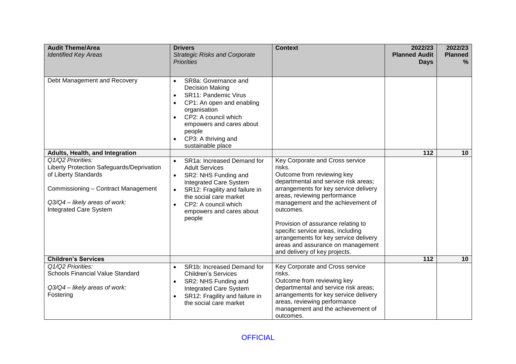| <b>Audit Theme/Area</b><br><b>Identified Key Areas</b>                                                                                                                                   | <b>Drivers</b><br><b>Strategic Risks and Corporate</b><br><b>Priorities</b>                                                                                                                                                                                                              | <b>Context</b>                                                                                                                                                                                                                                                                                                                                                                                                                       | 2022/23<br><b>Planned Audit</b><br><b>Days</b> | 2022/23<br><b>Planned</b><br>% |
|------------------------------------------------------------------------------------------------------------------------------------------------------------------------------------------|------------------------------------------------------------------------------------------------------------------------------------------------------------------------------------------------------------------------------------------------------------------------------------------|--------------------------------------------------------------------------------------------------------------------------------------------------------------------------------------------------------------------------------------------------------------------------------------------------------------------------------------------------------------------------------------------------------------------------------------|------------------------------------------------|--------------------------------|
| Debt Management and Recovery                                                                                                                                                             | SR8a: Governance and<br>$\bullet$<br><b>Decision Making</b><br><b>SR11: Pandemic Virus</b><br>$\bullet$<br>CP1: An open and enabling<br>$\bullet$<br>organisation<br>CP2: A council which<br>$\bullet$<br>empowers and cares about<br>people<br>CP3: A thriving and<br>sustainable place |                                                                                                                                                                                                                                                                                                                                                                                                                                      |                                                |                                |
| Adults, Health, and Integration                                                                                                                                                          |                                                                                                                                                                                                                                                                                          |                                                                                                                                                                                                                                                                                                                                                                                                                                      | 112                                            | 10                             |
| Q1/Q2 Priorities:<br>Liberty Protection Safeguards/Deprivation<br>of Liberty Standards<br>Commissioning - Contract Management<br>Q3/Q4 - likely areas of work:<br>Integrated Care System | SR1a: Increased Demand for<br>$\bullet$<br><b>Adult Services</b><br>SR2: NHS Funding and<br>$\bullet$<br>Integrated Care System<br>SR12: Fragility and failure in<br>$\bullet$<br>the social care market<br>CP2: A council which<br>$\bullet$<br>empowers and cares about<br>people      | Key Corporate and Cross service<br>risks.<br>Outcome from reviewing key<br>departmental and service risk areas;<br>arrangements for key service delivery<br>areas, reviewing performance<br>management and the achievement of<br>outcomes.<br>Provision of assurance relating to<br>specific service areas, including<br>arrangements for key service delivery<br>areas and assurance on management<br>and delivery of key projects. |                                                |                                |
| <b>Children's Services</b>                                                                                                                                                               |                                                                                                                                                                                                                                                                                          |                                                                                                                                                                                                                                                                                                                                                                                                                                      | $\overline{112}$                               | 10                             |
| Q1/Q2 Priorities:<br><b>Schools Financial Value Standard</b><br>Q3/Q4 - likely areas of work:<br>Fostering                                                                               | SR1b: Increased Demand for<br>$\bullet$<br><b>Children's Services</b><br>SR2: NHS Funding and<br>$\bullet$<br>Integrated Care System<br>SR12: Fragility and failure in<br>$\bullet$<br>the social care market                                                                            | Key Corporate and Cross service<br>risks.<br>Outcome from reviewing key<br>departmental and service risk areas;<br>arrangements for key service delivery<br>areas, reviewing performance<br>management and the achievement of<br>outcomes.                                                                                                                                                                                           |                                                |                                |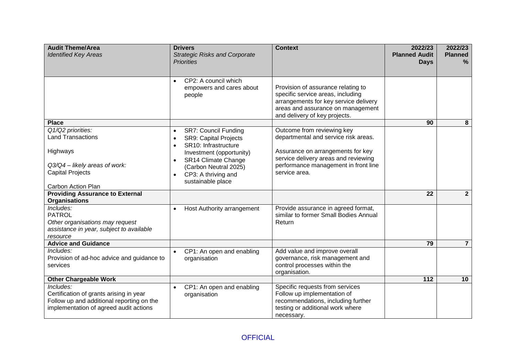| <b>Audit Theme/Area</b><br><b>Identified Key Areas</b>                                                                                      | <b>Drivers</b><br><b>Strategic Risks and Corporate</b><br><b>Priorities</b>                                                | <b>Context</b>                                                                                                                                                                         | 2022/23<br><b>Planned Audit</b><br><b>Days</b> | 2022/23<br><b>Planned</b><br>% |
|---------------------------------------------------------------------------------------------------------------------------------------------|----------------------------------------------------------------------------------------------------------------------------|----------------------------------------------------------------------------------------------------------------------------------------------------------------------------------------|------------------------------------------------|--------------------------------|
|                                                                                                                                             |                                                                                                                            |                                                                                                                                                                                        |                                                |                                |
|                                                                                                                                             | CP2: A council which<br>$\bullet$<br>empowers and cares about<br>people                                                    | Provision of assurance relating to<br>specific service areas, including<br>arrangements for key service delivery<br>areas and assurance on management<br>and delivery of key projects. |                                                |                                |
| <b>Place</b>                                                                                                                                |                                                                                                                            |                                                                                                                                                                                        | 90                                             | 8                              |
| Q1/Q2 priorities:<br><b>Land Transactions</b>                                                                                               | <b>SR7: Council Funding</b><br>$\bullet$<br><b>SR9: Capital Projects</b><br>$\bullet$<br>SR10: Infrastructure<br>$\bullet$ | Outcome from reviewing key<br>departmental and service risk areas.                                                                                                                     |                                                |                                |
| Highways                                                                                                                                    | Investment (opportunity)<br>SR14 Climate Change<br>$\bullet$                                                               | Assurance on arrangements for key<br>service delivery areas and reviewing                                                                                                              |                                                |                                |
| Q3/Q4 - likely areas of work:                                                                                                               | (Carbon Neutral 2025)                                                                                                      | performance management in front line                                                                                                                                                   |                                                |                                |
| <b>Capital Projects</b>                                                                                                                     | CP3: A thriving and<br>$\bullet$<br>sustainable place                                                                      | service area.                                                                                                                                                                          |                                                |                                |
| Carbon Action Plan                                                                                                                          |                                                                                                                            |                                                                                                                                                                                        |                                                |                                |
| <b>Providing Assurance to External</b><br><b>Organisations</b>                                                                              |                                                                                                                            |                                                                                                                                                                                        | 22                                             | $\mathbf{2}$                   |
| Includes:<br><b>PATROL</b><br>Other organisations may request<br>assistance in year, subject to available<br>resource                       | Host Authority arrangement<br>$\bullet$                                                                                    | Provide assurance in agreed format,<br>similar to former Small Bodies Annual<br>Return                                                                                                 |                                                |                                |
| <b>Advice and Guidance</b>                                                                                                                  |                                                                                                                            |                                                                                                                                                                                        | 79                                             | $\overline{7}$                 |
| Includes:<br>Provision of ad-hoc advice and guidance to<br>services                                                                         | CP1: An open and enabling<br>$\bullet$<br>organisation                                                                     | Add value and improve overall<br>governance, risk management and<br>control processes within the<br>organisation.                                                                      |                                                |                                |
| <b>Other Chargeable Work</b>                                                                                                                |                                                                                                                            |                                                                                                                                                                                        | $\overline{112}$                               | 10                             |
| Includes:<br>Certification of grants arising in year<br>Follow up and additional reporting on the<br>implementation of agreed audit actions | CP1: An open and enabling<br>$\bullet$<br>organisation                                                                     | Specific requests from services<br>Follow up implementation of<br>recommendations, including further<br>testing or additional work where<br>necessary.                                 |                                                |                                |